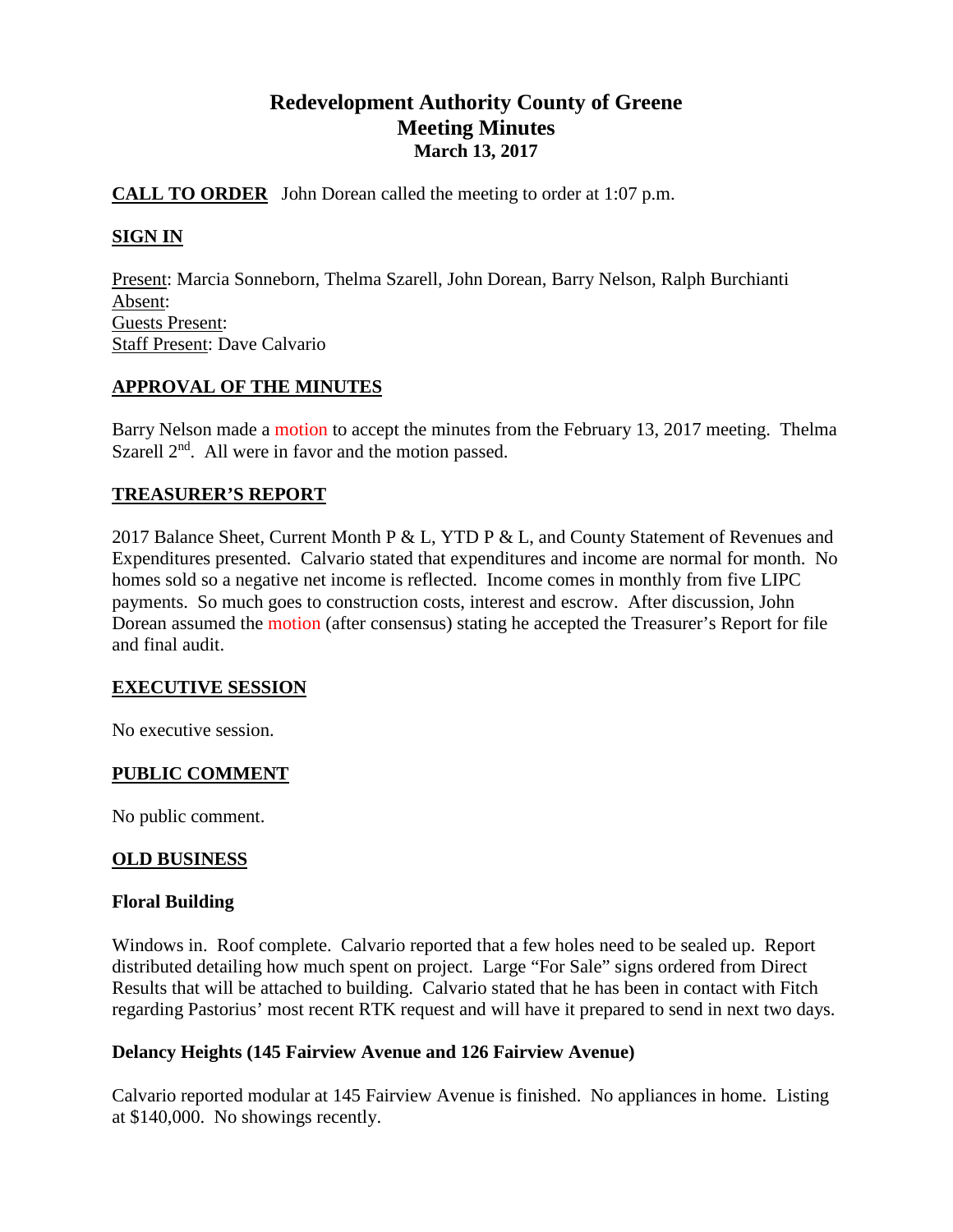# **Redevelopment Authority County of Greene Meeting Minutes March 13, 2017**

## **CALL TO ORDER** John Dorean called the meeting to order at 1:07 p.m.

## **SIGN IN**

Present: Marcia Sonneborn, Thelma Szarell, John Dorean, Barry Nelson, Ralph Burchianti Absent: Guests Present: Staff Present: Dave Calvario

## **APPROVAL OF THE MINUTES**

Barry Nelson made a motion to accept the minutes from the February 13, 2017 meeting. Thelma Szarell  $2<sup>nd</sup>$ . All were in favor and the motion passed.

## **TREASURER'S REPORT**

2017 Balance Sheet, Current Month P & L, YTD P & L, and County Statement of Revenues and Expenditures presented. Calvario stated that expenditures and income are normal for month. No homes sold so a negative net income is reflected. Income comes in monthly from five LIPC payments. So much goes to construction costs, interest and escrow. After discussion, John Dorean assumed the motion (after consensus) stating he accepted the Treasurer's Report for file and final audit.

## **EXECUTIVE SESSION**

No executive session.

## **PUBLIC COMMENT**

No public comment.

## **OLD BUSINESS**

## **Floral Building**

Windows in. Roof complete. Calvario reported that a few holes need to be sealed up. Report distributed detailing how much spent on project. Large "For Sale" signs ordered from Direct Results that will be attached to building. Calvario stated that he has been in contact with Fitch regarding Pastorius' most recent RTK request and will have it prepared to send in next two days.

## **Delancy Heights (145 Fairview Avenue and 126 Fairview Avenue)**

Calvario reported modular at 145 Fairview Avenue is finished. No appliances in home. Listing at \$140,000. No showings recently.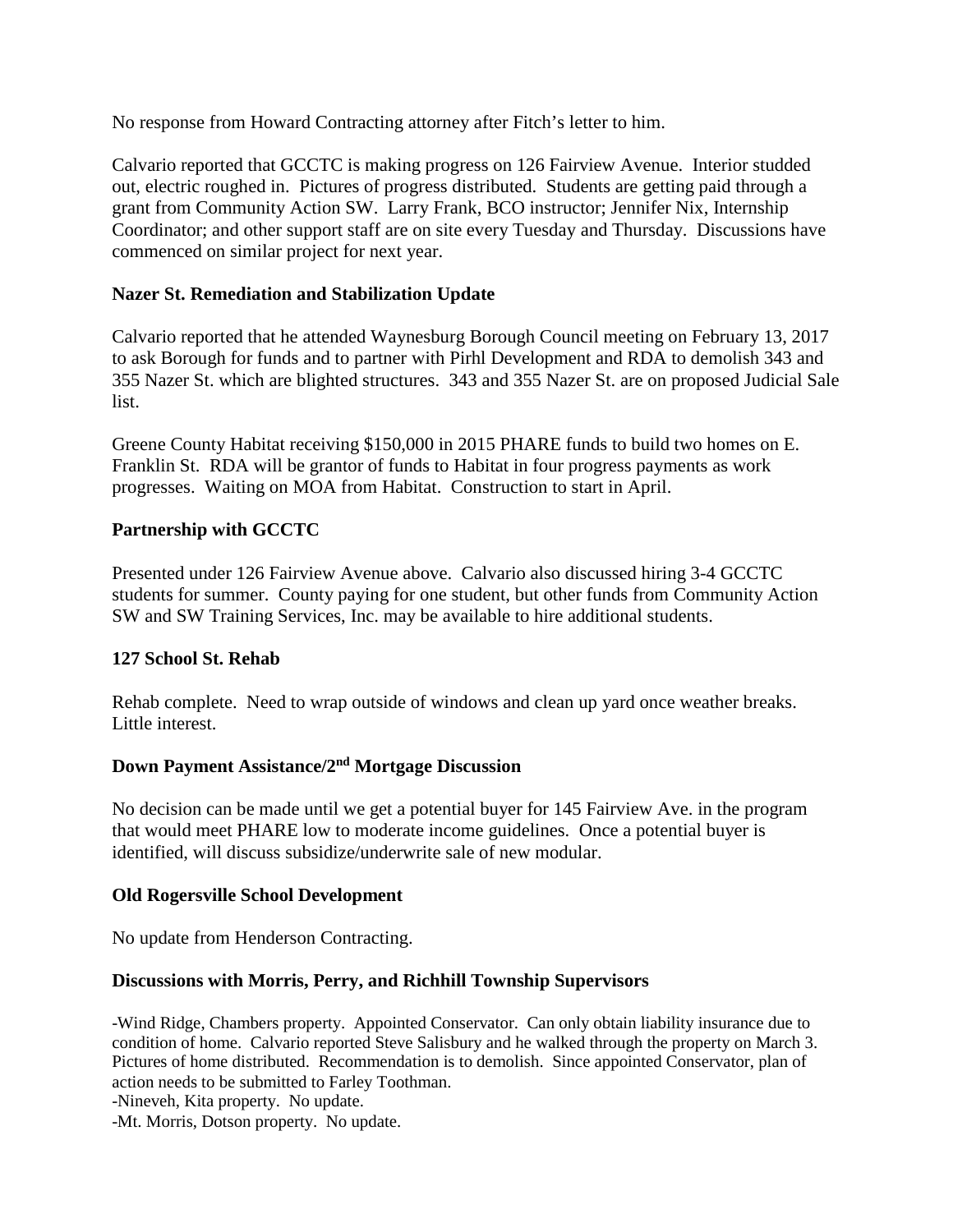No response from Howard Contracting attorney after Fitch's letter to him.

Calvario reported that GCCTC is making progress on 126 Fairview Avenue. Interior studded out, electric roughed in. Pictures of progress distributed. Students are getting paid through a grant from Community Action SW. Larry Frank, BCO instructor; Jennifer Nix, Internship Coordinator; and other support staff are on site every Tuesday and Thursday. Discussions have commenced on similar project for next year.

## **Nazer St. Remediation and Stabilization Update**

Calvario reported that he attended Waynesburg Borough Council meeting on February 13, 2017 to ask Borough for funds and to partner with Pirhl Development and RDA to demolish 343 and 355 Nazer St. which are blighted structures. 343 and 355 Nazer St. are on proposed Judicial Sale list.

Greene County Habitat receiving \$150,000 in 2015 PHARE funds to build two homes on E. Franklin St. RDA will be grantor of funds to Habitat in four progress payments as work progresses. Waiting on MOA from Habitat. Construction to start in April.

# **Partnership with GCCTC**

Presented under 126 Fairview Avenue above. Calvario also discussed hiring 3-4 GCCTC students for summer. County paying for one student, but other funds from Community Action SW and SW Training Services, Inc. may be available to hire additional students.

# **127 School St. Rehab**

Rehab complete. Need to wrap outside of windows and clean up yard once weather breaks. Little interest.

## **Down Payment Assistance/2nd Mortgage Discussion**

No decision can be made until we get a potential buyer for 145 Fairview Ave. in the program that would meet PHARE low to moderate income guidelines. Once a potential buyer is identified, will discuss subsidize/underwrite sale of new modular.

## **Old Rogersville School Development**

No update from Henderson Contracting.

## **Discussions with Morris, Perry, and Richhill Township Supervisors**

-Wind Ridge, Chambers property. Appointed Conservator. Can only obtain liability insurance due to condition of home. Calvario reported Steve Salisbury and he walked through the property on March 3. Pictures of home distributed. Recommendation is to demolish. Since appointed Conservator, plan of action needs to be submitted to Farley Toothman.

-Nineveh, Kita property. No update.

-Mt. Morris, Dotson property. No update.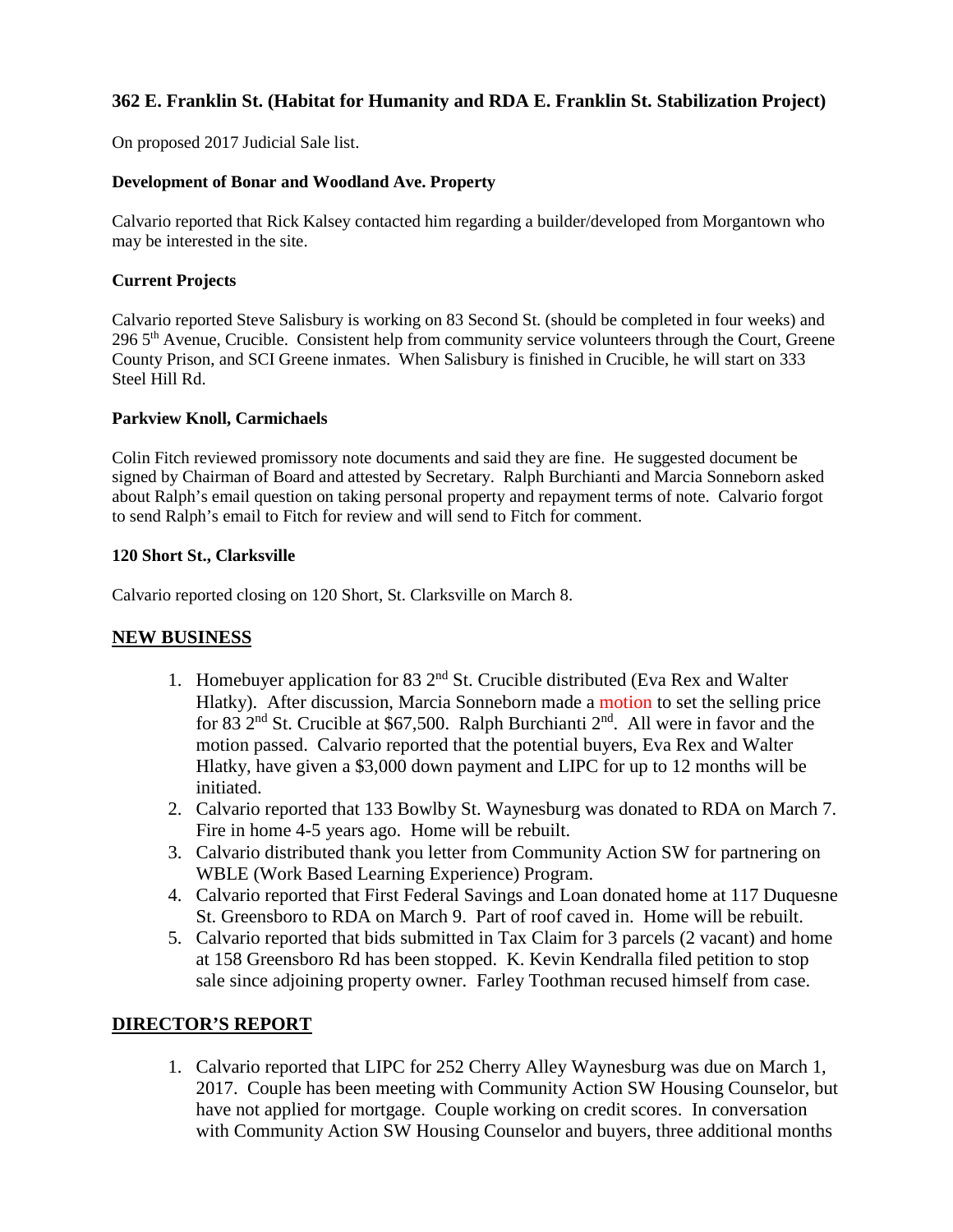# **362 E. Franklin St. (Habitat for Humanity and RDA E. Franklin St. Stabilization Project)**

On proposed 2017 Judicial Sale list.

#### **Development of Bonar and Woodland Ave. Property**

Calvario reported that Rick Kalsey contacted him regarding a builder/developed from Morgantown who may be interested in the site.

#### **Current Projects**

Calvario reported Steve Salisbury is working on 83 Second St. (should be completed in four weeks) and 296 5<sup>th</sup> Avenue, Crucible. Consistent help from community service volunteers through the Court, Greene County Prison, and SCI Greene inmates. When Salisbury is finished in Crucible, he will start on 333 Steel Hill Rd.

#### **Parkview Knoll, Carmichaels**

Colin Fitch reviewed promissory note documents and said they are fine. He suggested document be signed by Chairman of Board and attested by Secretary. Ralph Burchianti and Marcia Sonneborn asked about Ralph's email question on taking personal property and repayment terms of note. Calvario forgot to send Ralph's email to Fitch for review and will send to Fitch for comment.

#### **120 Short St., Clarksville**

Calvario reported closing on 120 Short, St. Clarksville on March 8.

## **NEW BUSINESS**

- 1. Homebuyer application for 83  $2<sup>nd</sup>$  St. Crucible distributed (Eva Rex and Walter Hlatky). After discussion, Marcia Sonneborn made a motion to set the selling price for 83  $2<sup>nd</sup>$  St. Crucible at \$67,500. Ralph Burchianti  $2<sup>nd</sup>$ . All were in favor and the motion passed. Calvario reported that the potential buyers, Eva Rex and Walter Hlatky, have given a \$3,000 down payment and LIPC for up to 12 months will be initiated.
- 2. Calvario reported that 133 Bowlby St. Waynesburg was donated to RDA on March 7. Fire in home 4-5 years ago. Home will be rebuilt.
- 3. Calvario distributed thank you letter from Community Action SW for partnering on WBLE (Work Based Learning Experience) Program.
- 4. Calvario reported that First Federal Savings and Loan donated home at 117 Duquesne St. Greensboro to RDA on March 9. Part of roof caved in. Home will be rebuilt.
- 5. Calvario reported that bids submitted in Tax Claim for 3 parcels (2 vacant) and home at 158 Greensboro Rd has been stopped. K. Kevin Kendralla filed petition to stop sale since adjoining property owner. Farley Toothman recused himself from case.

## **DIRECTOR'S REPORT**

1. Calvario reported that LIPC for 252 Cherry Alley Waynesburg was due on March 1, 2017. Couple has been meeting with Community Action SW Housing Counselor, but have not applied for mortgage. Couple working on credit scores. In conversation with Community Action SW Housing Counselor and buyers, three additional months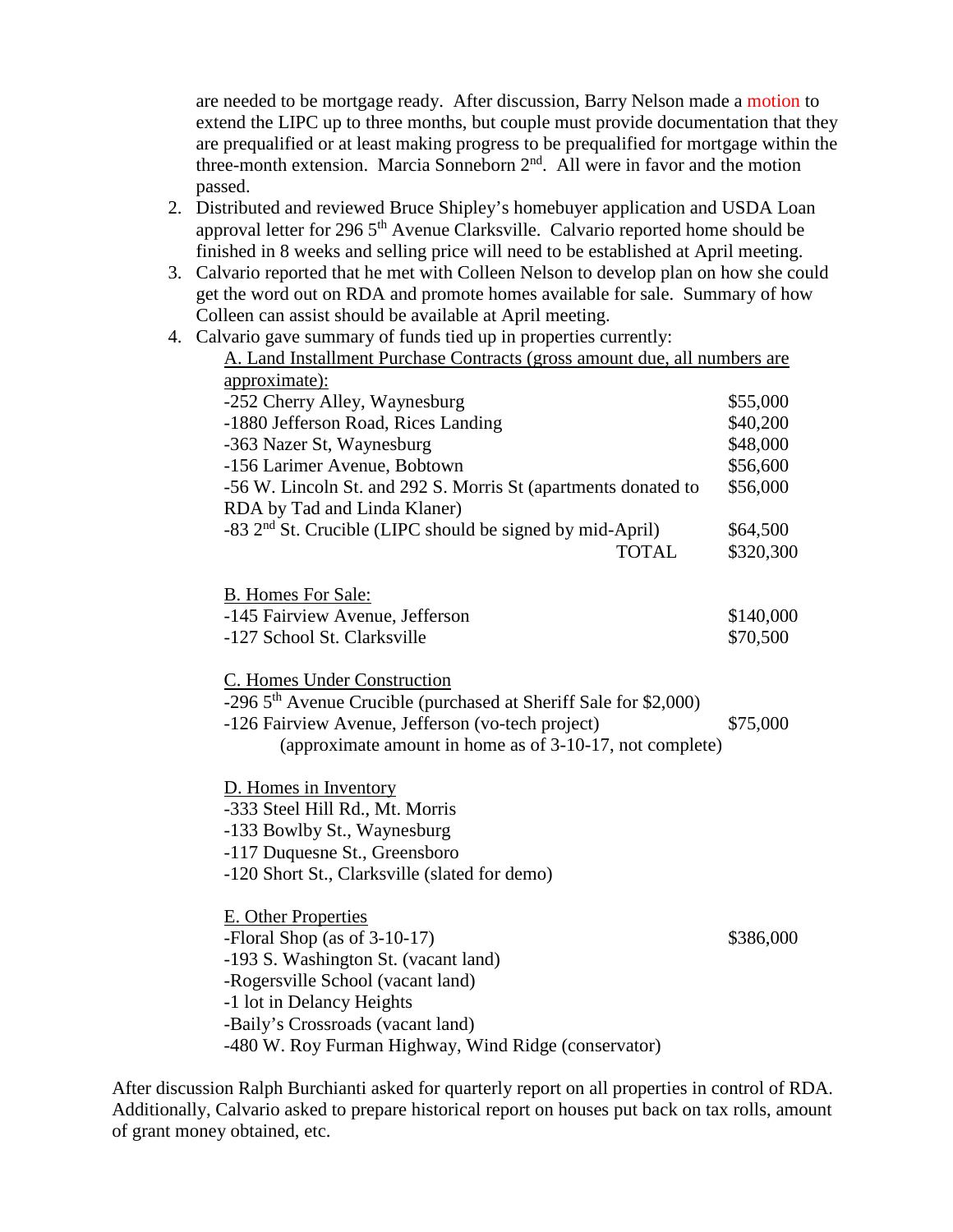are needed to be mortgage ready. After discussion, Barry Nelson made a motion to extend the LIPC up to three months, but couple must provide documentation that they are prequalified or at least making progress to be prequalified for mortgage within the three-month extension. Marcia Sonneborn 2<sup>nd</sup>. All were in favor and the motion passed.

- 2. Distributed and reviewed Bruce Shipley's homebuyer application and USDA Loan approval letter for 296  $5<sup>th</sup>$  Avenue Clarksville. Calvario reported home should be finished in 8 weeks and selling price will need to be established at April meeting.
- 3. Calvario reported that he met with Colleen Nelson to develop plan on how she could get the word out on RDA and promote homes available for sale. Summary of how Colleen can assist should be available at April meeting.
- 4. Calvario gave summary of funds tied up in properties currently: A. Land Installment Purchase Contracts (gross amount due, all numbers are approximate): -252 Cherry Alley, Waynesburg  $$55,000$ -1880 Jefferson Road, Rices Landing \$40,200 -363 Nazer St, Waynesburg \$48,000 -156 Larimer Avenue, Bobtown  $$56,600$ -56 W. Lincoln St. and 292 S. Morris St (apartments donated to \$56,000 RDA by Tad and Linda Klaner)  $-83$  2<sup>nd</sup> St. Crucible (LIPC should be signed by mid-April) \$64,500 TOTAL \$320,300 B. Homes For Sale: -145 Fairview Avenue, Jefferson  $$140,000$ -127 School St. Clarksville  $$70,500$ C. Homes Under Construction  $-296$  5<sup>th</sup> Avenue Crucible (purchased at Sheriff Sale for \$2,000) -126 Fairview Avenue, Jefferson (vo-tech project) \$75,000 (approximate amount in home as of 3-10-17, not complete) D. Homes in Inventory -333 Steel Hill Rd., Mt. Morris -133 Bowlby St., Waynesburg -117 Duquesne St., Greensboro -120 Short St., Clarksville (slated for demo) E. Other Properties -Floral Shop (as of 3-10-17) \$386,000 -193 S. Washington St. (vacant land) -Rogersville School (vacant land) -1 lot in Delancy Heights -Baily's Crossroads (vacant land)

After discussion Ralph Burchianti asked for quarterly report on all properties in control of RDA. Additionally, Calvario asked to prepare historical report on houses put back on tax rolls, amount of grant money obtained, etc.

-480 W. Roy Furman Highway, Wind Ridge (conservator)